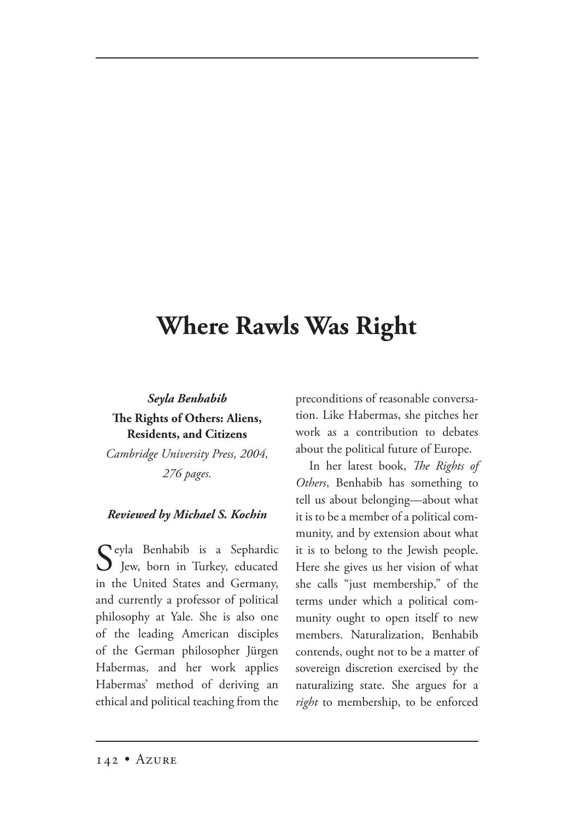## **Where Rawls Was Right**

## *Seyla Benhabib* **e Rights of Others: Aliens, Residents, and Citizens**

*Cambridge University Press, 2004, 276 pages.*

## *Reviewed by Michael S. Kochin*

Seyla Benhabib is a Sephardic<br>Jew, born in Turkey, educated in the United States and Germany, and currently a professor of political philosophy at Yale. She is also one of the leading American disciples of the German philosopher Jürgen Habermas, and her work applies Habermas' method of deriving an ethical and political teaching from the

preconditions of reasonable conversation. Like Habermas, she pitches her work as a contribution to debates about the political future of Europe.

In her latest book, *The Rights of Others*, Benhabib has something to tell us about belonging—about what it is to be a member of a political community, and by extension about what it is to belong to the Jewish people. Here she gives us her vision of what she calls "just membership," of the terms under which a political community ought to open itself to new members. Naturalization, Benhabib contends, ought not to be a matter of sovereign discretion exercised by the naturalizing state. She argues for a *right* to membership, to be enforced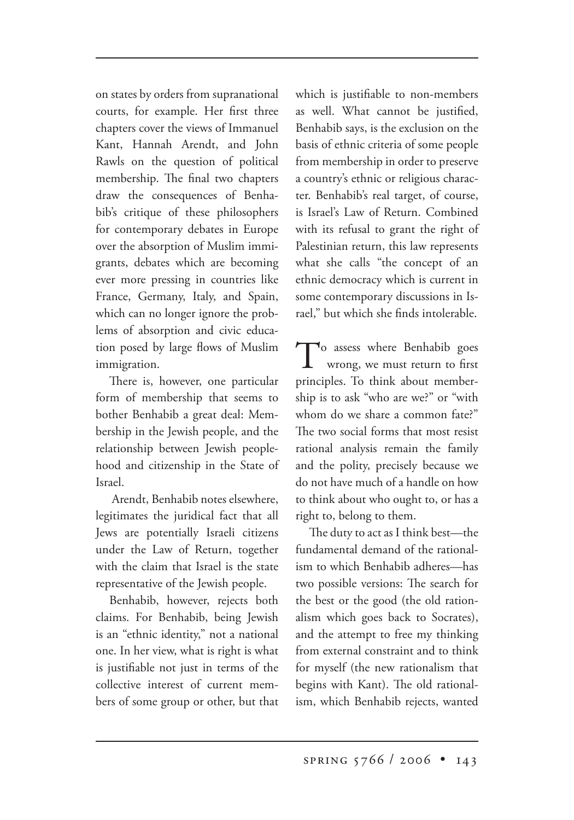on states by orders from supranational courts, for example. Her first three chapters cover the views of Immanuel Kant, Hannah Arendt, and John Rawls on the question of political membership. The final two chapters draw the consequences of Benhabib's critique of these philosophers for contemporary debates in Europe over the absorption of Muslim immigrants, debates which are becoming ever more pressing in countries like France, Germany, Italy, and Spain, which can no longer ignore the problems of absorption and civic education posed by large flows of Muslim immigration.

There is, however, one particular form of membership that seems to bother Benhabib a great deal: Membership in the Jewish people, and the relationship between Jewish peoplehood and citizenship in the State of Israel.

 Arendt, Benhabib notes elsewhere, legitimates the juridical fact that all Jews are potentially Israeli citizens under the Law of Return, together with the claim that Israel is the state representative of the Jewish people.

Benhabib, however, rejects both claims. For Benhabib, being Jewish is an "ethnic identity," not a national one. In her view, what is right is what is justifiable not just in terms of the collective interest of current members of some group or other, but that which is justifiable to non-members as well. What cannot be justified, Benhabib says, is the exclusion on the basis of ethnic criteria of some people from membership in order to preserve a country's ethnic or religious character. Benhabib's real target, of course, is Israel's Law of Return. Combined with its refusal to grant the right of Palestinian return, this law represents what she calls "the concept of an ethnic democracy which is current in some contemporary discussions in Israel," but which she finds intolerable.

To assess where Benhabib goes<br>wrong, we must return to first principles. To think about membership is to ask "who are we?" or "with whom do we share a common fate?" The two social forms that most resist rational analysis remain the family and the polity, precisely because we do not have much of a handle on how to think about who ought to, or has a right to, belong to them.

The duty to act as I think best—the fundamental demand of the rationalism to which Benhabib adheres—has two possible versions: The search for the best or the good (the old rationalism which goes back to Socrates), and the attempt to free my thinking from external constraint and to think for myself (the new rationalism that begins with Kant). The old rationalism, which Benhabib rejects, wanted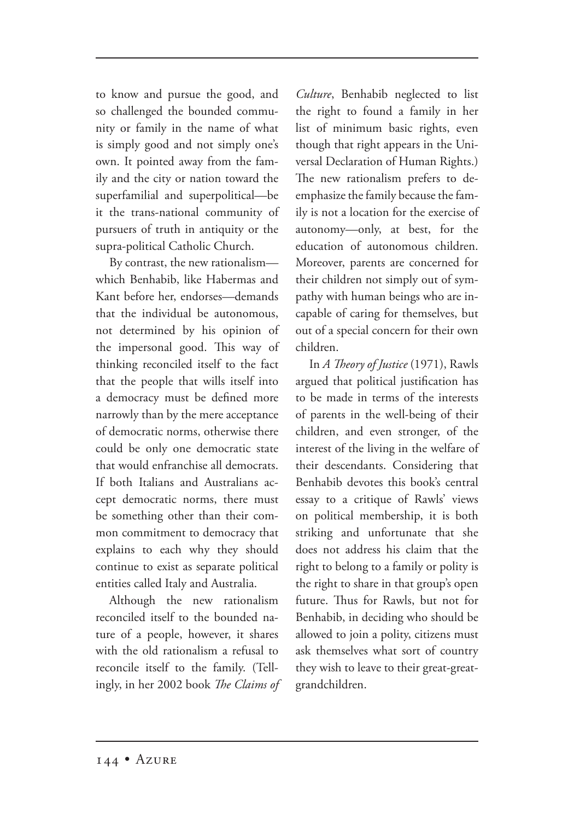to know and pursue the good, and so challenged the bounded community or family in the name of what is simply good and not simply one's own. It pointed away from the family and the city or nation toward the superfamilial and superpolitical—be it the trans-national community of pursuers of truth in antiquity or the supra-political Catholic Church.

By contrast, the new rationalism which Benhabib, like Habermas and Kant before her, endorses—demands that the individual be autonomous, not determined by his opinion of the impersonal good. This way of thinking reconciled itself to the fact that the people that wills itself into a democracy must be defined more narrowly than by the mere acceptance of democratic norms, otherwise there could be only one democratic state that would enfranchise all democrats. If both Italians and Australians accept democratic norms, there must be something other than their common commitment to democracy that explains to each why they should continue to exist as separate political entities called Italy and Australia.

Although the new rationalism reconciled itself to the bounded nature of a people, however, it shares with the old rationalism a refusal to reconcile itself to the family. (Tellingly, in her 2002 book *The Claims of* 

*Culture*, Benhabib neglected to list the right to found a family in her list of minimum basic rights, even though that right appears in the Universal Declaration of Human Rights.) The new rationalism prefers to deemphasize the family because the family is not a location for the exercise of autonomy—only, at best, for the education of autonomous children. Moreover, parents are concerned for their children not simply out of sympathy with human beings who are incapable of caring for themselves, but out of a special concern for their own children.

In *A Theory of Justice* (1971), Rawls argued that political justification has to be made in terms of the interests of parents in the well-being of their children, and even stronger, of the interest of the living in the welfare of their descendants. Considering that Benhabib devotes this book's central essay to a critique of Rawls' views on political membership, it is both striking and unfortunate that she does not address his claim that the right to belong to a family or polity is the right to share in that group's open future. Thus for Rawls, but not for Benhabib, in deciding who should be allowed to join a polity, citizens must ask themselves what sort of country they wish to leave to their great-greatgrandchildren.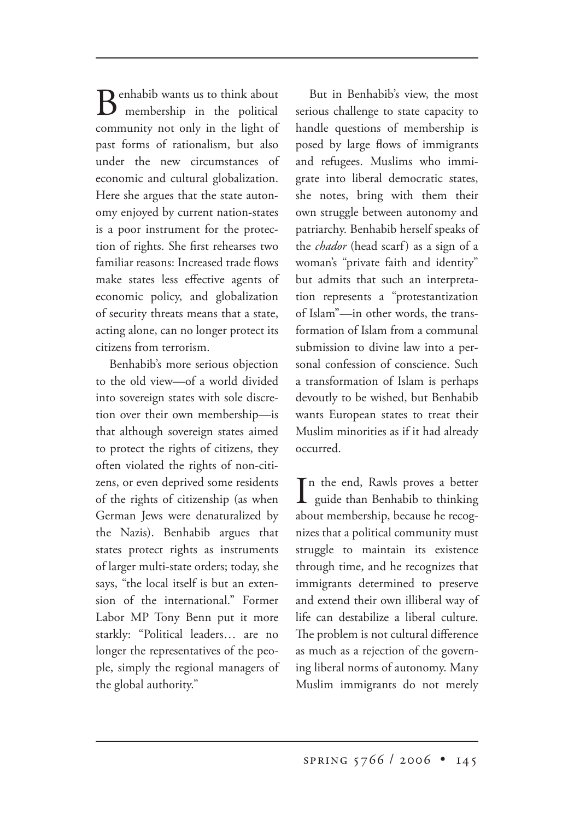$\bf D$  enhabib wants us to think about membership in the political community not only in the light of past forms of rationalism, but also under the new circumstances of economic and cultural globalization. Here she argues that the state autonomy enjoyed by current nation-states is a poor instrument for the protection of rights. She first rehearses two familiar reasons: Increased trade flows make states less effective agents of economic policy, and globalization of security threats means that a state, acting alone, can no longer protect its citizens from terrorism.

Benhabib's more serious objection to the old view—of a world divided into sovereign states with sole discretion over their own membership—is that although sovereign states aimed to protect the rights of citizens, they often violated the rights of non-citizens, or even deprived some residents of the rights of citizenship (as when German Jews were denaturalized by the Nazis). Benhabib argues that states protect rights as instruments of larger multi-state orders; today, she says, "the local itself is but an extension of the international." Former Labor MP Tony Benn put it more starkly: "Political leaders… are no longer the representatives of the people, simply the regional managers of the global authority."

But in Benhabib's view, the most serious challenge to state capacity to handle questions of membership is posed by large flows of immigrants and refugees. Muslims who immigrate into liberal democratic states, she notes, bring with them their own struggle between autonomy and patriarchy. Benhabib herself speaks of the *chador* (head scarf) as a sign of a woman's "private faith and identity" but admits that such an interpretation represents a "protestantization of Islam"—in other words, the transformation of Islam from a communal submission to divine law into a personal confession of conscience. Such a transformation of Islam is perhaps devoutly to be wished, but Benhabib wants European states to treat their Muslim minorities as if it had already occurred.

In the end, Rawls proves a better<br>guide than Benhabib to thinking n the end, Rawls proves a better about membership, because he recognizes that a political community must struggle to maintain its existence through time, and he recognizes that immigrants determined to preserve and extend their own illiberal way of life can destabilize a liberal culture. The problem is not cultural difference as much as a rejection of the governing liberal norms of autonomy. Many Muslim immigrants do not merely